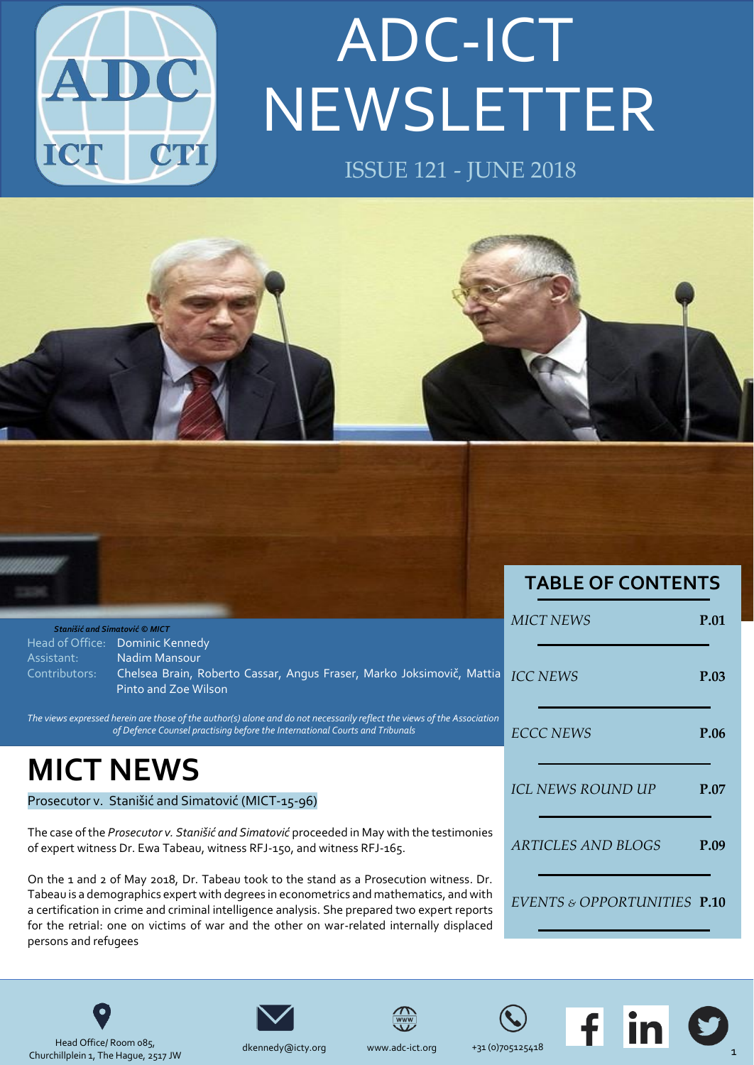

# NEWSLETTER ADC-ICT ISSUE 121 - JUNE 2018





Head Office/ Room 085, Churchillplein 1, The Hague, 2517 JW



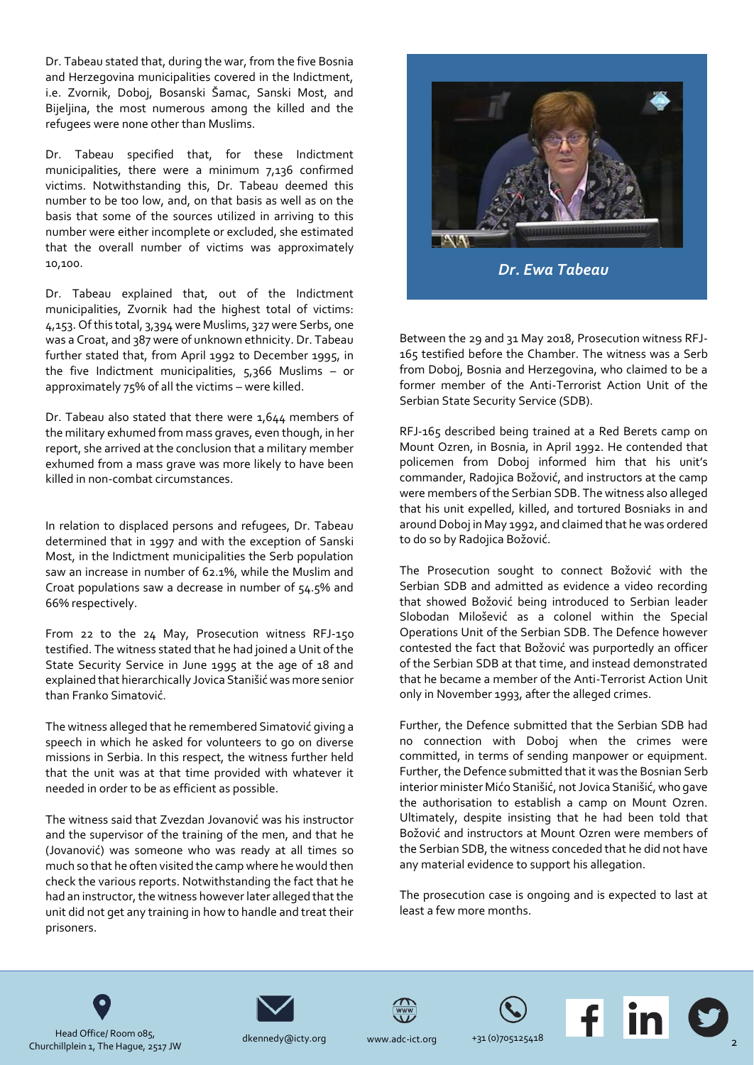Dr. Tabeau stated that, during the war, from the five Bosnia and Herzegovina municipalities covered in the Indictment, i.e. Zvornik, Doboj, Bosanski Šamac, Sanski Most, and Bijeljina, the most numerous among the killed and the refugees were none other than Muslims.

Dr. Tabeau specified that, for these Indictment municipalities, there were a minimum 7,136 confirmed victims. Notwithstanding this, Dr. Tabeau deemed this number to be too low, and, on that basis as well as on the basis that some of the sources utilized in arriving to this number were either incomplete or excluded, she estimated that the overall number of victims was approximately 10,100.

Dr. Tabeau explained that, out of the Indictment municipalities, Zvornik had the highest total of victims: 4,153. Of this total, 3,394 were Muslims, 327 were Serbs, one was a Croat, and 387 were of unknown ethnicity. Dr. Tabeau further stated that, from April 1992 to December 1995, in the five Indictment municipalities,  $5,366$  Muslims – or approximately 75% of all the victims – were killed.

Dr. Tabeau also stated that there were 1,644 members of the military exhumed from mass graves, even though, in her report, she arrived at the conclusion that a military member exhumed from a mass grave was more likely to have been killed in non-combat circumstances.

In relation to displaced persons and refugees, Dr. Tabeau determined that in 1997 and with the exception of Sanski Most, in the Indictment municipalities the Serb population saw an increase in number of 62.1%, while the Muslim and Croat populations saw a decrease in number of 54.5% and 66% respectively.

From 22 to the 24 May, Prosecution witness RFJ-150 testified. The witness stated that he had joined a Unit of the State Security Service in June 1995 at the age of 18 and explained that hierarchically Jovica Stanišić was more senior than Franko Simatović.

The witness alleged that he remembered Simatović giving a speech in which he asked for volunteers to go on diverse missions in Serbia. In this respect, the witness further held that the unit was at that time provided with whatever it needed in order to be as efficient as possible.

The witness said that Zvezdan Jovanović was his instructor and the supervisor of the training of the men, and that he (Jovanović) was someone who was ready at all times so much so that he often visited the camp where he would then check the various reports. Notwithstanding the fact that he had an instructor, the witness however later alleged that the unit did not get any training in how to handle and treat their prisoners.



Between the 29 and 31 May 2018, Prosecution witness RFJ-165 testified before the Chamber. The witness was a Serb from Doboj, Bosnia and Herzegovina, who claimed to be a former member of the Anti-Terrorist Action Unit of the Serbian State Security Service (SDB).

RFJ-165 described being trained at a Red Berets camp on Mount Ozren, in Bosnia, in April 1992. He contended that policemen from Doboj informed him that his unit's commander, Radojica Božović, and instructors at the camp were members of the Serbian SDB. The witness also alleged that his unit expelled, killed, and tortured Bosniaks in and around Doboj in May 1992, and claimed that he was ordered to do so by Radojica Božović.

The Prosecution sought to connect Božović with the Serbian SDB and admitted as evidence a video recording that showed Božović being introduced to Serbian leader Slobodan Milošević as a colonel within the Special Operations Unit of the Serbian SDB. The Defence however contested the fact that Božović was purportedly an officer of the Serbian SDB at that time, and instead demonstrated that he became a member of the Anti-Terrorist Action Unit only in November 1993, after the alleged crimes.

Further, the Defence submitted that the Serbian SDB had no connection with Doboj when the crimes were committed, in terms of sending manpower or equipment. Further, the Defence submitted that it was the Bosnian Serb interior minister Mićo Stanišić, not Jovica Stanišić, who gave the authorisation to establish a camp on Mount Ozren. Ultimately, despite insisting that he had been told that Božović and instructors at Mount Ozren were members of the Serbian SDB, the witness conceded that he did not have any material evidence to support his allegation.

The prosecution case is ongoing and is expected to last at least a few more months.











Head Office/ Room 085, Churchillplein 1, The Hague, 2517 JW

[dkennedy@icty.org](mailto:dkennedy@icty.org) [www.adc-](mailto:dkennedy@icty.org)ict.org +31 (0)705125418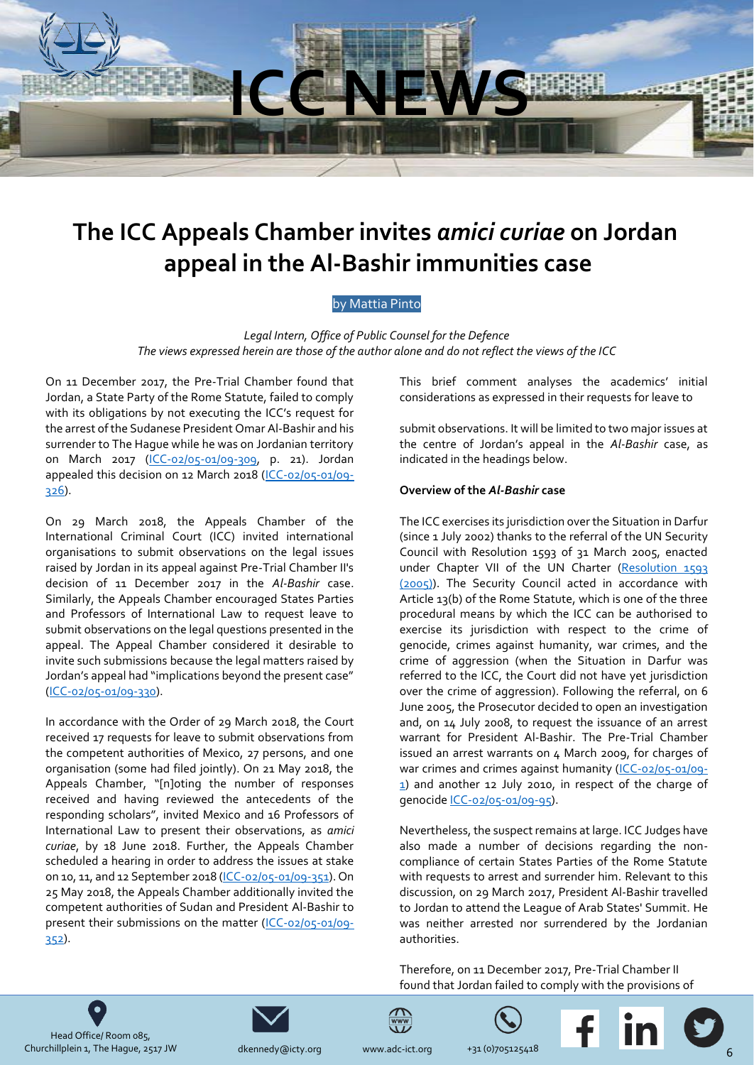

## <span id="page-2-0"></span>**The ICC Appeals Chamber invites** *amici curiae* **on Jordan appeal in the Al-Bashir immunities case**

#### by Mattia Pinto

*Legal Intern, Office of Public Counsel for the Defence* The views expressed herein are those of the author alone and do not reflect the views of the ICC

On 11 December 2017, the Pre-Trial Chamber found that Jordan, a State Party of the Rome Statute, failed to comply with its obligations by not executing the ICC's request for the arrest of the Sudanese President Omar Al-Bashir and his surrender to The Hague while he was on Jordanian territory on March 2017 [\(ICC-02/05-01/09-309,](https://www.icc-cpi.int/Pages/record.aspx?docNo=ICC-02/05-01/09-309) p. 21). Jordan appealed this decision on 12 March 2018 [\(ICC-02/05-01/09-](https://www.icc-cpi.int/Pages/record.aspx?docNo=ICC-02/05-01/09-326) [326\)](https://www.icc-cpi.int/Pages/record.aspx?docNo=ICC-02/05-01/09-326).

On 29 March 2018, the Appeals Chamber of the International Criminal Court (ICC) invited international organisations to submit observations on the legal issues raised by Jordan in its appeal against Pre-Trial Chamber II's decision of 11 December 2017 in the *Al-Bashir* case. Similarly, the Appeals Chamber encouraged States Parties and Professors of International Law to request leave to submit observations on the legal questions presented in the appeal. The Appeal Chamber considered it desirable to invite such submissions because the legal matters raised by Jordan's appeal had "implications beyond the present case" [\(ICC-02/05-01/09-330\)](https://www.icc-cpi.int/Pages/record.aspx?docNo=ICC-02/05-01/09-330).

In accordance with the Order of 29 March 2018, the Court received 17 requests for leave to submit observations from the competent authorities of Mexico, 27 persons, and one organisation (some had filed jointly). On 21 May 2018, the Appeals Chamber, "[n]oting the number of responses received and having reviewed the antecedents of the responding scholars", invited Mexico and 16 Professors of International Law to present their observations, as *amici curiae*, by 18 June 2018. Further, the Appeals Chamber scheduled a hearing in order to address the issues at stake on 10, 11, and 12 September 2018 [\(ICC-02/05-01/09-351\)](https://www.icc-cpi.int/Pages/record.aspx?docNo=ICC-02/05-01/09-351). On 25 May 2018, the Appeals Chamber additionally invited the competent authorities of Sudan and President Al-Bashir to present their submissions on the matter [\(ICC-02/05-01/09-](https://www.icc-cpi.int/Pages/record.aspx?docNo=ICC-02/05-01/09-352) [352\)](https://www.icc-cpi.int/Pages/record.aspx?docNo=ICC-02/05-01/09-352).

This brief comment analyses the academics' initial considerations as expressed in their requests for leave to

submit observations. It will be limited to two major issues at the centre of Jordan's appeal in the *Al-Bashir* case, as indicated in the headings below.

#### **Overview of the** *Al-Bashir* **case**

The ICC exercises its jurisdiction over the Situation in Darfur (since 1 July 2002) thanks to the referral of the UN Security Council with Resolution 1593 of 31 March 2005, enacted under Chapter VII of the UN Charter [\(Resolution 1593](https://www.icc-cpi.int/NR/rdonlyres/85FEBD1A-29F8-4EC4-9566-48EDF55CC587/283244/N0529273.pdf)  [\(2005\)\)](https://www.icc-cpi.int/NR/rdonlyres/85FEBD1A-29F8-4EC4-9566-48EDF55CC587/283244/N0529273.pdf). The Security Council acted in accordance with Article 13(b) of the Rome Statute, which is one of the three procedural means by which the ICC can be authorised to exercise its jurisdiction with respect to the crime of genocide, crimes against humanity, war crimes, and the crime of aggression (when the Situation in Darfur was referred to the ICC, the Court did not have yet jurisdiction over the crime of aggression). Following the referral, on 6 June 2005, the Prosecutor decided to open an investigation and, on 14 July 2008, to request the issuance of an arrest warrant for President Al-Bashir. The Pre-Trial Chamber issued an arrest warrants on 4 March 2009, for charges of war crimes and crimes against humanity [\(ICC-02/05-01/09-](https://www.icc-cpi.int/Pages/record.aspx?docNo=ICC-02/05-01/09-1) [1\)](https://www.icc-cpi.int/Pages/record.aspx?docNo=ICC-02/05-01/09-1) and another 12 July 2010, in respect of the charge of genocid[e ICC-02/05-01/09-95\)](https://www.icc-cpi.int/pages/record.aspx?uri=907140).

Nevertheless, the suspect remains at large. ICC Judges have also made a number of decisions regarding the noncompliance of certain States Parties of the Rome Statute with requests to arrest and surrender him. Relevant to this discussion, on 29 March 2017, President Al-Bashir travelled to Jordan to attend the League of Arab States' Summit. He was neither arrested nor surrendered by the Jordanian authorities.

Therefore, on 11 December 2017, Pre-Trial Chamber II found that Jordan failed to comply with the provisions of

Head Office/ Room 085, Churchillplein 1, The Hague, 2517 JW [dkennedy@icty.org](mailto:dkennedy@icty.org) [www.adc-](mailto:dkennedy@icty.org)ict.org +31 (0)705125418



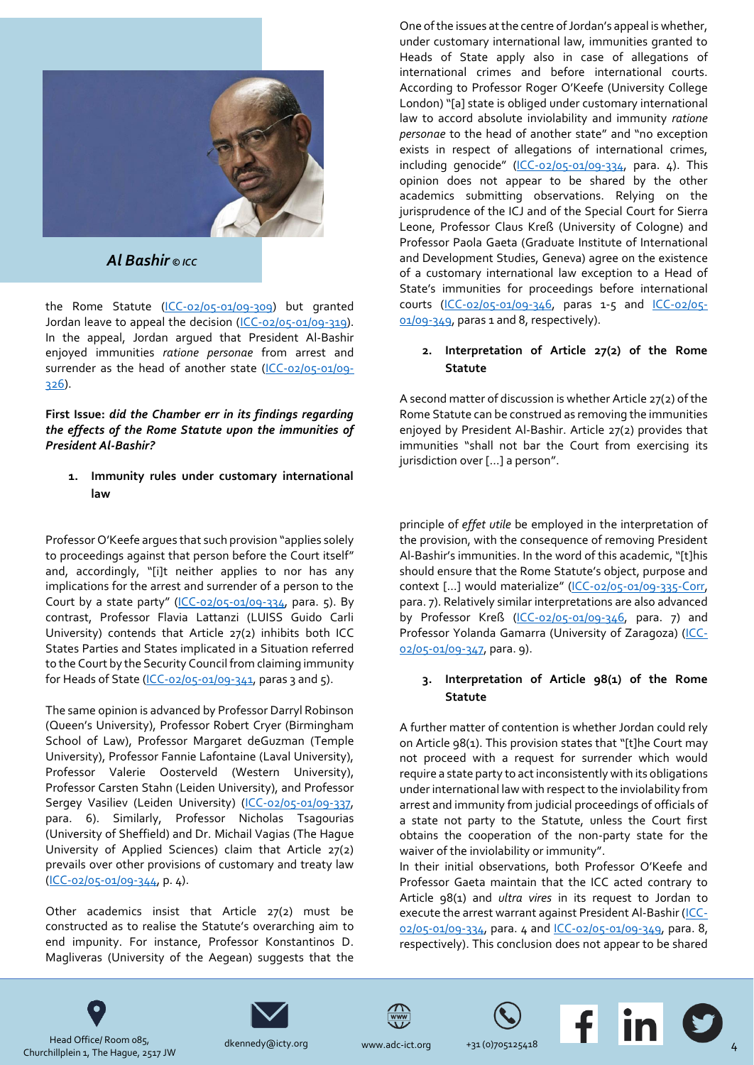

#### *Al Bashir © ICC*

the Rome Statute [\(ICC-02/05-01/09-309\)](https://www.icc-cpi.int/Pages/record.aspx?docNo=ICC-02/05-01/09-309) but granted Jordan leave to appeal the decision [\(ICC-02/05-01/09-319\)](https://www.icc-cpi.int/Pages/record.aspx?docNo=ICC-02/05-01/09-319). In the appeal, Jordan argued that President Al-Bashir enjoyed immunities *ratione personae* from arrest and surrender as the head of another state [\(ICC-02/05-01/09-](https://www.icc-cpi.int/Pages/record.aspx?docNo=ICC-02/05-01/09-326) [326\)](https://www.icc-cpi.int/Pages/record.aspx?docNo=ICC-02/05-01/09-326).

**First Issue:** *did the Chamber err in its findings regarding the effects of the Rome Statute upon the immunities of President Al-Bashir?*

**1. Immunity rules under customary international law**

Professor O'Keefe argues that such provision "applies solely to proceedings against that person before the Court itself" and, accordingly, "[i]t neither applies to nor has any implications for the arrest and surrender of a person to the Court by a state party" ([ICC-02/05-01/09-334,](https://www.icc-cpi.int/Pages/record.aspx?docNo=ICC-02/05-01/09-334) para. 5). By contrast, Professor Flavia Lattanzi (LUISS Guido Carli University) contends that Article 27(2) inhibits both ICC States Parties and States implicated in a Situation referred to the Court by the Security Council from claiming immunity for Heads of State  $(ICC-02/05-01/09-341)$ , paras 3 and 5).

The same opinion is advanced by Professor Darryl Robinson (Queen's University), Professor Robert Cryer (Birmingham School of Law), Professor Margaret deGuzman (Temple University), Professor Fannie Lafontaine (Laval University), Professor Valerie Oosterveld (Western University), Professor Carsten Stahn (Leiden University), and Professor Sergey Vasiliev (Leiden University) [\(ICC-02/05-01/09-337,](https://www.icc-cpi.int/Pages/record.aspx?docNo=ICC-02/05-01/09-337) para. 6). Similarly, Professor Nicholas Tsagourias (University of Sheffield) and Dr. Michail Vagias (The Hague University of Applied Sciences) claim that Article 27(2) prevails over other provisions of customary and treaty law [\(ICC-02/05-01/09-344,](https://www.icc-cpi.int/Pages/record.aspx?docNo=ICC-02/05-01/09-344) p. 4).

Other academics insist that Article 27(2) must be constructed as to realise the Statute's overarching aim to end impunity. For instance, Professor Konstantinos D. Magliveras (University of the Aegean) suggests that the

One of the issues at the centre of Jordan's appeal is whether, under customary international law, immunities granted to Heads of State apply also in case of allegations of international crimes and before international courts. According to Professor Roger O'Keefe (University College London) "[a] state is obliged under customary international law to accord absolute inviolability and immunity *ratione personae* to the head of another state" and "no exception exists in respect of allegations of international crimes, including genocide" ([ICC-02/05-01/09-334,](https://www.icc-cpi.int/Pages/record.aspx?docNo=ICC-02/05-01/09-334) para. 4). This opinion does not appear to be shared by the other academics submitting observations. Relying on the jurisprudence of the ICJ and of the Special Court for Sierra Leone, Professor Claus Kreß (University of Cologne) and Professor Paola Gaeta (Graduate Institute of International and Development Studies, Geneva) agree on the existence of a customary international law exception to a Head of State's immunities for proceedings before international courts [\(ICC-02/05-01/09-346,](https://www.icc-cpi.int/Pages/record.aspx?docNo=ICC-02/05-01/09-346) paras 1-5 and [ICC-02/05-](https://www.icc-cpi.int/Pages/record.aspx?docNo=ICC-02/05-01/09-349) [01/09-349,](https://www.icc-cpi.int/Pages/record.aspx?docNo=ICC-02/05-01/09-349) paras 1 and 8, respectively).

#### **2. Interpretation of Article 27(2) of the Rome Statute**

A second matter of discussion is whether Article 27(2) of the Rome Statute can be construed as removing the immunities enjoyed by President Al-Bashir. Article 27(2) provides that immunities "shall not bar the Court from exercising its jurisdiction over […] a person".

principle of *effet utile* be employed in the interpretation of the provision, with the consequence of removing President Al-Bashir's immunities. In the word of this academic, "[t]his should ensure that the Rome Statute's object, purpose and context […] would materialize" ([ICC-02/05-01/09-335-Corr,](https://www.icc-cpi.int/Pages/record.aspx?docNo=ICC-02/05-01/09-335-Corr) para. 7). Relatively similar interpretations are also advanced by Professor Kreß [\(ICC-02/05-01/09-346,](https://www.icc-cpi.int/Pages/record.aspx?docNo=ICC-02/05-01/09-346) para. 7) and Professor Yolanda Gamarra (University of Zaragoza) [\(ICC-](https://www.icc-cpi.int/Pages/record.aspx?docNo=ICC-02/05-01/09-347)[02/05-01/09-347,](https://www.icc-cpi.int/Pages/record.aspx?docNo=ICC-02/05-01/09-347) para. 9).

#### **3. Interpretation of Article 98(1) of the Rome Statute**

A further matter of contention is whether Jordan could rely on Article 98(1). This provision states that "[t]he Court may not proceed with a request for surrender which would require a state party to act inconsistently with its obligations under international law with respect to the inviolability from arrest and immunity from judicial proceedings of officials of a state not party to the Statute, unless the Court first obtains the cooperation of the non-party state for the waiver of the inviolability or immunity".

In their initial observations, both Professor O'Keefe and Professor Gaeta maintain that the ICC acted contrary to Article 98(1) and *ultra vires* in its request to Jordan to execute the arrest warrant against President Al-Bashir [\(ICC-](https://www.icc-cpi.int/Pages/record.aspx?docNo=ICC-02/05-01/09-334)[02/05-01/09-334,](https://www.icc-cpi.int/Pages/record.aspx?docNo=ICC-02/05-01/09-334) para. 4 and [ICC-02/05-01/09-349,](https://www.icc-cpi.int/Pages/record.aspx?docNo=ICC-02/05-01/09-349) para. 8, respectively). This conclusion does not appear to be shared











Head Office/ Room 085, Churchillplein 1, The Hague, 2517 JW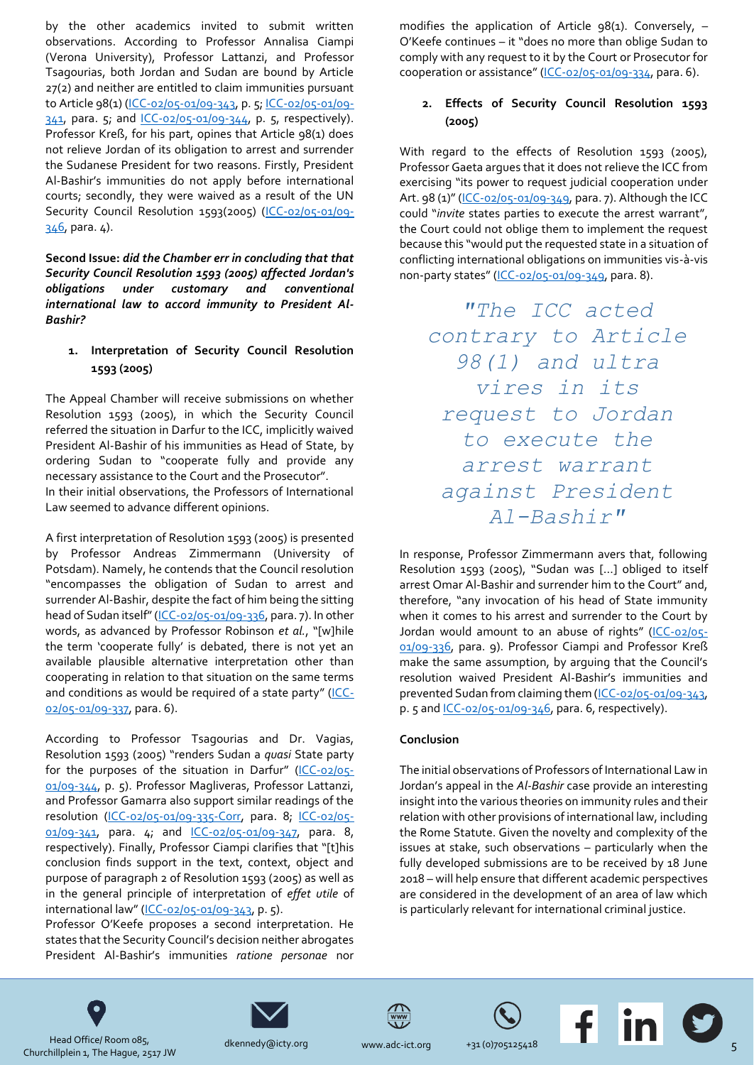by the other academics invited to submit written observations. According to Professor Annalisa Ciampi (Verona University), Professor Lattanzi, and Professor Tsagourias, both Jordan and Sudan are bound by Article 27(2) and neither are entitled to claim immunities pursuant to Article 98(1) [\(ICC-02/05-01/09-343,](https://www.icc-cpi.int/Pages/record.aspx?docNo=ICC-02/05-01/09-343) p. 5[; ICC-02/05-01/09-](https://www.icc-cpi.int/Pages/record.aspx?docNo=ICC-02/05-01/09-341) [341,](https://www.icc-cpi.int/Pages/record.aspx?docNo=ICC-02/05-01/09-341) para. 5; and [ICC-02/05-01/09-344,](https://www.icc-cpi.int/Pages/record.aspx?docNo=ICC-02/05-01/09-344) p. 5, respectively). Professor Kreß, for his part, opines that Article 98(1) does not relieve Jordan of its obligation to arrest and surrender the Sudanese President for two reasons. Firstly, President Al-Bashir's immunities do not apply before international courts; secondly, they were waived as a result of the UN Security Council Resolution 1593(2005) [\(ICC-02/05-01/09-](https://www.icc-cpi.int/Pages/record.aspx?docNo=ICC-02/05-01/09-346)  $346.$  para.  $4$ ).

**Second Issue:** *did the Chamber err in concluding that that Security Council Resolution 1593 (2005) affected Jordan's obligations under customary and conventional international law to accord immunity to President Al-Bashir?*

#### **1. Interpretation of Security Council Resolution 1593 (2005)**

The Appeal Chamber will receive submissions on whether Resolution 1593 (2005), in which the Security Council referred the situation in Darfur to the ICC, implicitly waived President Al-Bashir of his immunities as Head of State, by ordering Sudan to "cooperate fully and provide any necessary assistance to the Court and the Prosecutor". In their initial observations, the Professors of International Law seemed to advance different opinions.

A first interpretation of Resolution 1593 (2005) is presented by Professor Andreas Zimmermann (University of Potsdam). Namely, he contends that the Council resolution "encompasses the obligation of Sudan to arrest and surrender Al-Bashir, despite the fact of him being the sitting head of Sudan itself" ([ICC-02/05-01/09-336,](https://www.icc-cpi.int/Pages/record.aspx?docNo=ICC-02/05-01/09-336) para. 7). In other words, as advanced by Professor Robinson *et al.*, "[w]hile the term 'cooperate fully' is debated, there is not yet an available plausible alternative interpretation other than cooperating in relation to that situation on the same terms and conditions as would be required of a state party" ([ICC-](https://www.icc-cpi.int/Pages/record.aspx?docNo=ICC-02/05-01/09-337)[02/05-01/09-337,](https://www.icc-cpi.int/Pages/record.aspx?docNo=ICC-02/05-01/09-337) para. 6).

According to Professor Tsagourias and Dr. Vagias, Resolution 1593 (2005) "renders Sudan a *quasi* State party for the purposes of the situation in Darfur" ([ICC-02/05-](https://www.icc-cpi.int/Pages/record.aspx?docNo=ICC-02/05-01/09-344) [01/09-344,](https://www.icc-cpi.int/Pages/record.aspx?docNo=ICC-02/05-01/09-344) p. 5). Professor Magliveras, Professor Lattanzi, and Professor Gamarra also support similar readings of the resolution [\(ICC-02/05-01/09-335-Corr,](https://www.icc-cpi.int/Pages/record.aspx?docNo=ICC-02/05-01/09-335-Corr) para. 8; [ICC-02/05-](https://www.icc-cpi.int/Pages/record.aspx?docNo=ICC-02/05-01/09-341) [01/09-341,](https://www.icc-cpi.int/Pages/record.aspx?docNo=ICC-02/05-01/09-341) para. 4; and [ICC-02/05-01/09-347,](https://www.icc-cpi.int/Pages/record.aspx?docNo=ICC-02/05-01/09-347) para. 8, respectively). Finally, Professor Ciampi clarifies that "[t]his conclusion finds support in the text, context, object and purpose of paragraph 2 of Resolution 1593 (2005) as well as in the general principle of interpretation of *effet utile* of international law" ([ICC-02/05-01/09-343,](https://www.icc-cpi.int/Pages/record.aspx?docNo=ICC-02/05-01/09-343) p. 5).

Professor O'Keefe proposes a second interpretation. He states that the Security Council's decision neither abrogates President Al-Bashir's immunities *ratione personae* nor modifies the application of Article  $98(1)$ . Conversely, -O'Keefe continues – it "does no more than oblige Sudan to comply with any request to it by the Court or Prosecutor for cooperation or assistance" ([ICC-02/05-01/09-334,](https://www.icc-cpi.int/Pages/record.aspx?docNo=ICC-02/05-01/09-334) para. 6).

#### **2. Effects of Security Council Resolution 1593 (2005)**

With regard to the effects of Resolution 1593 (2005), Professor Gaeta argues that it does not relieve the ICC from exercising "its power to request judicial cooperation under Art. 98 (1)" ([ICC-02/05-01/09-349,](https://www.icc-cpi.int/Pages/record.aspx?docNo=ICC-02/05-01/09-349) para. 7). Although the ICC could "*invite* states parties to execute the arrest warrant", the Court could not oblige them to implement the request because this "would put the requested state in a situation of conflicting international obligations on immunities vis-à-vis non-party states" [\(ICC-02/05-01/09-349,](https://www.icc-cpi.int/Pages/record.aspx?docNo=ICC-02/05-01/09-349) para. 8).

*"The ICC acted contrary to Article 98(1) and ultra vires in its request to Jordan to execute the arrest warrant against President Al-Bashir"*

In response, Professor Zimmermann avers that, following Resolution 1593 (2005), "Sudan was […] obliged to itself arrest Omar Al-Bashir and surrender him to the Court" and, therefore, "any invocation of his head of State immunity when it comes to his arrest and surrender to the Court by Jordan would amount to an abuse of rights" ([ICC-02/05-](https://www.icc-cpi.int/Pages/record.aspx?docNo=ICC-02/05-01/09-336) [01/09-336,](https://www.icc-cpi.int/Pages/record.aspx?docNo=ICC-02/05-01/09-336) para. 9). Professor Ciampi and Professor Kreß make the same assumption, by arguing that the Council's resolution waived President Al-Bashir's immunities and prevented Sudan from claiming them [\(ICC-02/05-01/09-343,](https://www.icc-cpi.int/Pages/record.aspx?docNo=ICC-02/05-01/09-343) p. 5 and [ICC-02/05-01/09-346,](https://www.icc-cpi.int/Pages/record.aspx?docNo=ICC-02/05-01/09-346) para. 6, respectively).

#### **Conclusion**

The initial observations of Professors of International Law in Jordan's appeal in the *Al-Bashir* case provide an interesting insight into the various theories on immunity rules and their relation with other provisions of international law, including the Rome Statute. Given the novelty and complexity of the issues at stake, such observations – particularly when the fully developed submissions are to be received by 18 June 2018 – will help ensure that different academic perspectives are considered in the development of an area of law which is particularly relevant for international criminal justice.











Head Office/ Room 085, Churchillplein 1, The Hague, 2517 JW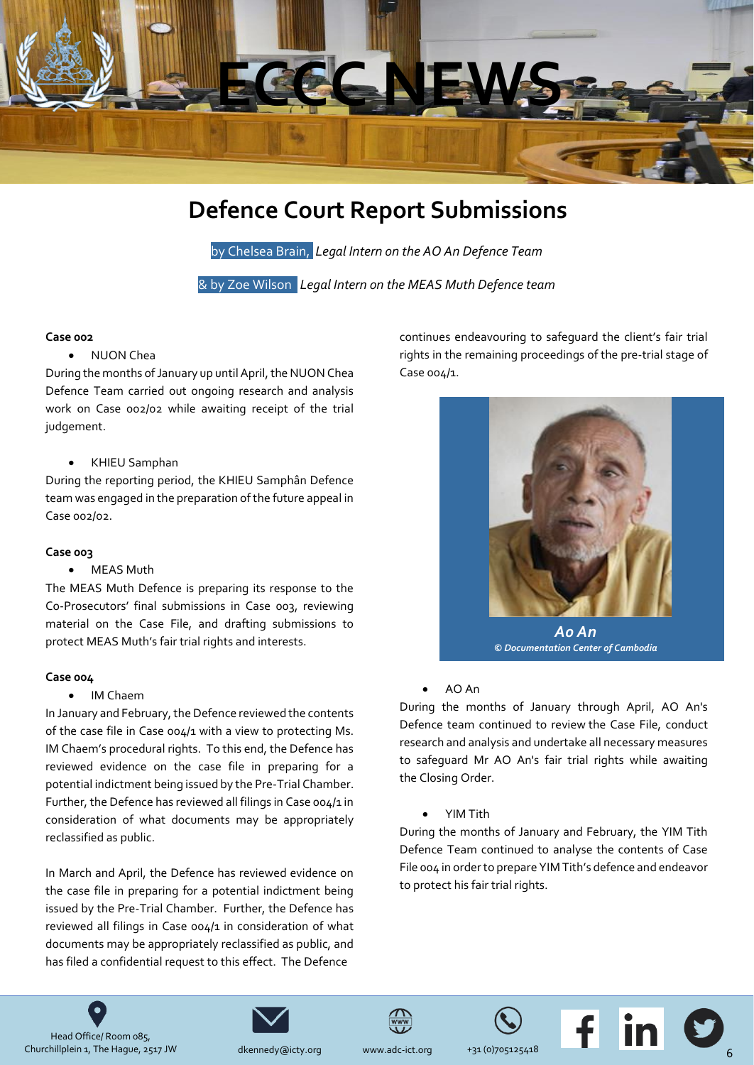

### **Defence Court Report Submissions**

by Chelsea Brain, *Legal Intern on the AO An Defence Team*

& by Zoe Wilson *Legal Intern on the MEAS Muth Defence team*

#### <span id="page-5-0"></span>**Case 002**

#### • NUON Chea

During the months of January up until April, the NUON Chea Defence Team carried out ongoing research and analysis work on Case 002/02 while awaiting receipt of the trial judgement.

#### • KHIEU Samphan

During the reporting period, the KHIEU Samphân Defence team was engaged in the preparation of the future appeal in Case 002/02.

#### **Case 003**

#### • MEAS Muth

The MEAS Muth Defence is preparing its response to the Co-Prosecutors' final submissions in Case 003, reviewing material on the Case File, and drafting submissions to protect MEAS Muth's fair trial rights and interests.

#### **Case 004**

• IM Chaem

In January and February, the Defence reviewed the contents of the case file in Case 004/1 with a view to protecting Ms. IM Chaem's procedural rights. To this end, the Defence has reviewed evidence on the case file in preparing for a potential indictment being issued by the Pre-Trial Chamber. Further, the Defence has reviewed all filings in Case 004/1 in consideration of what documents may be appropriately reclassified as public.

In March and April, the Defence has reviewed evidence on the case file in preparing for a potential indictment being issued by the Pre-Trial Chamber. Further, the Defence has reviewed all filings in Case 004/1 in consideration of what documents may be appropriately reclassified as public, and has filed a confidential request to this effect. The Defence

continues endeavouring to safeguard the client's fair trial rights in the remaining proceedings of the pre-trial stage of Case 004/1.



*Ao An © Documentation Center of Cambodia*

#### • AO An

During the months of January through April, AO An's Defence team continued to review the Case File, conduct research and analysis and undertake all necessary measures to safeguard Mr AO An's fair trial rights while awaiting the Closing Order.

• YIM Tith

During the months of January and February, the YIM Tith Defence Team continued to analyse the contents of Case File 004 in order to prepare YIM Tith's defence and endeavor to protect his fair trial rights.









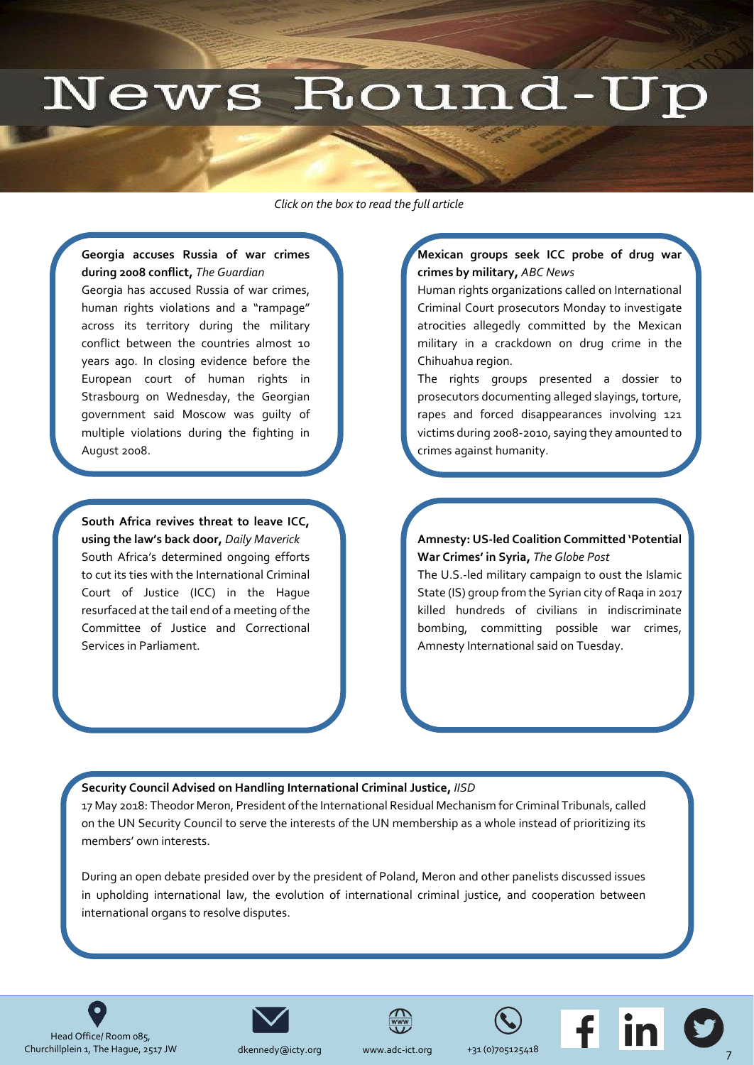## News Round-Up

*Click on the box to read the full article* 

#### <span id="page-6-0"></span>**Georgia accuses Russia of war crimes during 2008 conflict,** *The Guardian*

Georgia has accused Russia of war crimes, human rights violations and a "rampage" across its territory during the military conflict between the countries almost 10 years ago. In closing evidence before the European court of human rights in Strasbourg on Wednesday, the Georgian [government said Moscow was guilty of](https://www.theguardian.com/world/2018/may/23/georgia-accuses-russia-war-crimes-2008-conflict)  multiple violations during the fighting in August 2008.

**South Africa revives threat to leave ICC, using the law's back door,** *Daily Maverick* South Africa's determined ongoing efforts to cut its ties with the International Criminal Court of Justice (ICC) in the Hague [resurfaced at the tail end of a meeting of the](https://www.dailymaverick.co.za/article/2018-06-12-sa-revives-threat-to-leave-icc-using-the-laws-back-door/#.WyI0DkiFPIV)  Committee of Justice and Correctional Services in Parliament.

#### **Mexican groups seek ICC probe of drug war crimes by military,** *ABC News*

Human rights organizations called on International [Criminal Court prosecutors Monday to investigate](https://abcnews.go.com/International/wireStory/mexican-groups-seek-international-probe-drug-war-crimes-55809997)  atrocities allegedly committed by the Mexican military in a crackdown on drug crime in the Chihuahua region.

The rights groups presented a dossier to prosecutors documenting alleged slayings, torture, rapes and forced disappearances involving 121 victims during 2008-2010, saying they amounted to crimes against humanity.

#### **Amnesty: US-led Coalition Committed 'Potential War Crimes' in Syria,** *The Globe Post*

The U.S.-led military campaign to oust the Islamic [State \(IS\) group from the Syrian city of Raqa in 2017](https://www.theglobepost.com/2018/06/05/amnesty-syria-war-crimes/)  killed hundreds of civilians in indiscriminate bombing, committing possible war crimes, Amnesty International said on Tuesday.

#### **Security Council Advised on Handling International Criminal Justice,** *IISD*

[17 May 2018: Theodor Meron, President of the International Residual Mechanism for Criminal Tribunals, called](http://sdg.iisd.org/news/security-council-advised-on-handling-international-criminal-justice/)  on the UN Security Council to serve the interests of the UN membership as a whole instead of prioritizing its members' own interests.

During an open debate presided over by the president of Poland, Meron and other panelists discussed issues in upholding international law, the evolution of international criminal justice, and cooperation between international organs to resolve disputes.









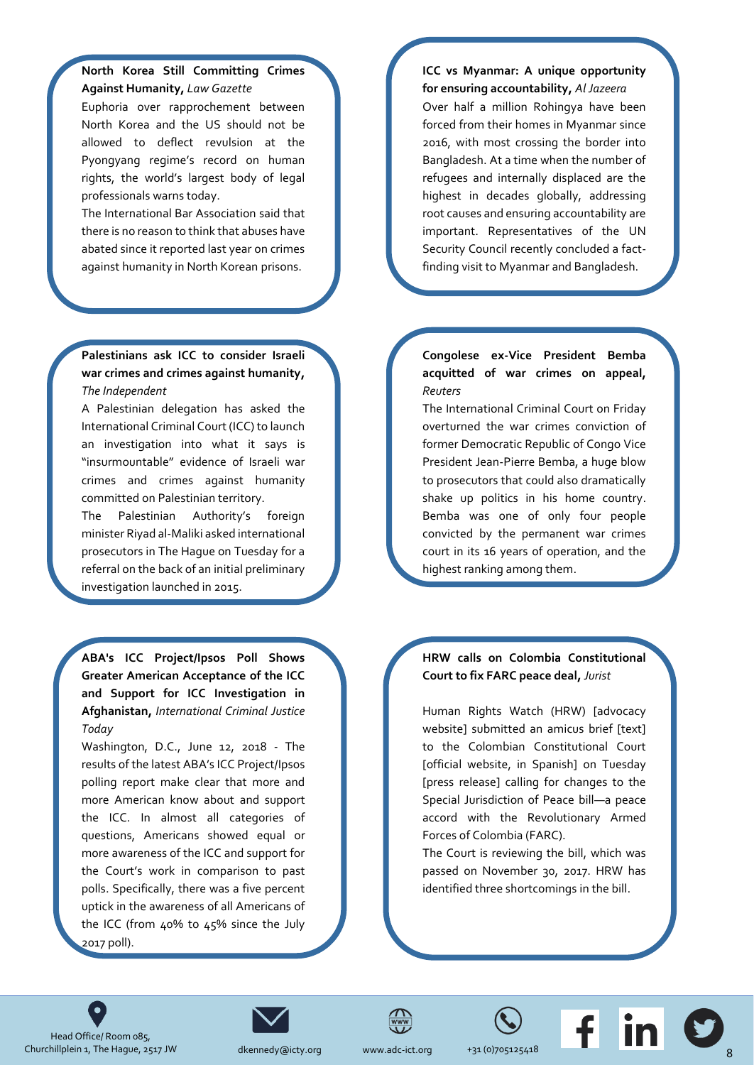#### **North Korea Still Committing Crimes Against Humanity,** *Law Gazette*

Euphoria over rapprochement between North Korea and the US should not be allowed to deflect revulsion at the Pyongyang regime's record on human rights, the world's largest body of legal professionals warns today.

The International Bar Association said that [there is no reason to think that abuses have](https://www.lawgazette.co.uk/news/north-korea-still-committing-crimes-against-humanity/5066445.article)  abated since it reported last year on crimes against humanity in North Korean prisons.

#### **Palestinians ask ICC to consider Israeli [war crimes and crimes against humanity,](https://www.independent.co.uk/news/world/middle-east/gaza-protests-icc-israel-palestine-petition-war-crimes-against-humanity-deaths-a8363706.html)**  *The Independent*

A Palestinian delegation has asked the International Criminal Court (ICC) to launch an investigation into what it says is "insurmountable" evidence of Israeli war crimes and crimes against humanity committed on Palestinian territory.

The Palestinian Authority's foreign minister Riyad al-Maliki asked international prosecutors in The Hague on Tuesday for a referral on the back of an initial preliminary investigation launched in 2015.

**ABA's ICC Project/Ipsos Poll Shows Greater American Acceptance of the ICC [and Support for ICC Investigation in](https://www.international-criminal-justice-today.org/news/abas-icc-projectipsos-poll-shows-continued-american-acceptance-of-the-icc-and-demonstrates-support-for-icc-investigation-in-afghanistan/)  Afghanistan,** *International Criminal Justice Today*

Washington, D.C., June 12, 2018 - The results of the latest ABA's ICC Project/Ipsos polling report make clear that more and more American know about and support the ICC. In almost all categories of questions, Americans showed equal or more awareness of the ICC and support for the Court's work in comparison to past polls. Specifically, there was a five percent uptick in the awareness of all Americans of the ICC (from 40% to 45% since the July 2017 poll).

#### **[ICC vs Myanmar: A unique opportunity](https://www.aljazeera.com/indepth/opinion/icc-myanmar-unique-opportunity-ensuring-accountability-180606094047441.html)  for ensuring accountability,** *Al Jazeera* Over half a million Rohingya have been forced from their homes in Myanmar since 2016, with most crossing the border into Bangladesh. At a time when the number of refugees and internally displaced are the highest in decades globally, addressing root causes and ensuring accountability are important. Representatives of the UN

Security Council recently concluded a factfinding visit to Myanmar and Bangladesh.

#### **Congolese ex-Vice President Bemba [acquitted of war crimes on appeal,](https://www.reuters.com/article/us-warcrimes-congo-bemba/congolese-ex-vice-president-bemba-acquitted-of-war-crimes-on-appeal-idUSKCN1J42GN)**  *Reuters*

The International Criminal Court on Friday overturned the war crimes conviction of former Democratic Republic of Congo Vice President Jean-Pierre Bemba, a huge blow to prosecutors that could also dramatically shake up politics in his home country. Bemba was one of only four people convicted by the permanent war crimes court in its 16 years of operation, and the highest ranking among them.

#### **[HRW calls on Colombia Constitutional](http://www.jurist.org/paperchase/2018/06/hrw-calls-on-colombia-constitutional-court-to-fix-farc-peace-deal.php)  Court to fix FARC peace deal,** *Jurist*

Human Rights Watch (HRW) [advocacy website] submitted an amicus brief [text] to the Colombian Constitutional Court [official website, in Spanish] on Tuesday [press release] calling for changes to the Special Jurisdiction of Peace bill—a peace accord with the Revolutionary Armed Forces of Colombia (FARC).

The Court is reviewing the bill, which was passed on November 30, 2017. HRW has identified three shortcomings in the bill.











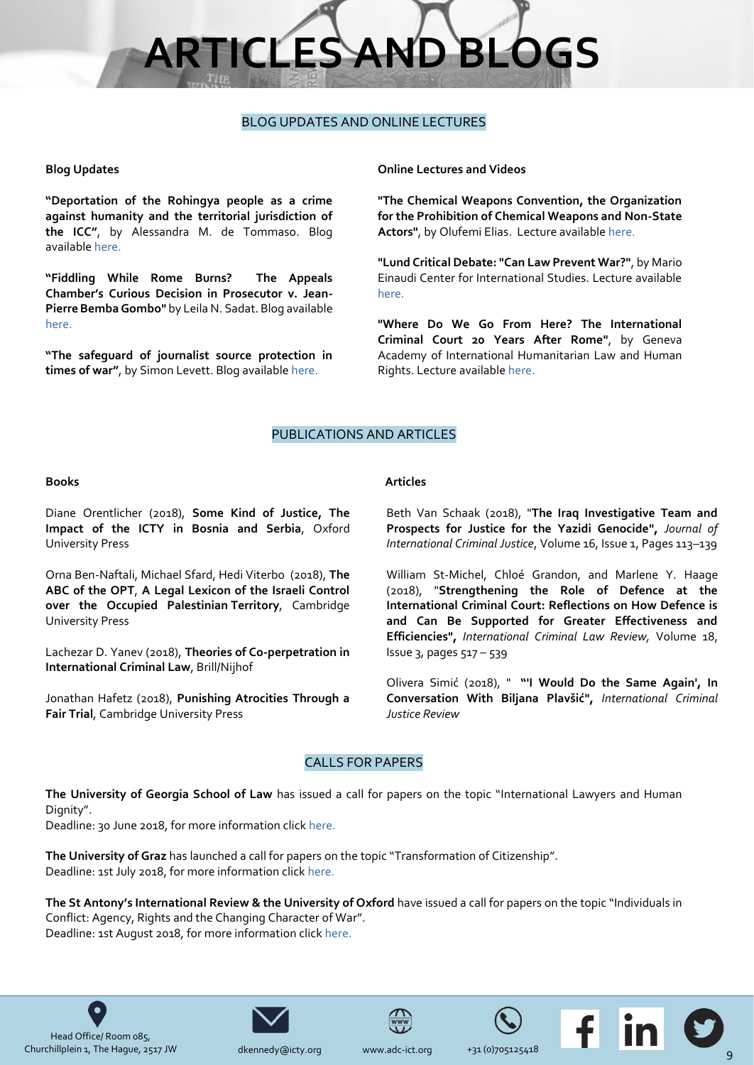# **RTICLES AND BLC**

#### BLOG UPDATES AND ONLINE LECTURES

#### <span id="page-8-0"></span>**Blog Updates**

**"Deportation of the Rohingya people as a crime against humanity and the territorial jurisdiction of the ICC"**, by Alessandra M. de Tommaso. Blog available [here.](https://aninternationallawblog.wordpress.com/2018/05/28/deportation-of-the-rohingya-people-as-a-crime-against-humanity-and-the-territorial-jurisdiction-of-the-icc/)

**"Fiddling While Rome Burns? The Appeals Chamber's Curious Decision in Prosecutor v. Jean-Pierre Bemba Gombo"** by Leila N. Sadat. Blog available [here.](https://www.ejiltalk.org/fiddling-while-rome-burns-the-appeals-chambers-curious-decision-in-prosecutor-v-jean-pierre-bemba-gombo/)

**"The safeguard of journalist source protection in times of war"**, by Simon Levett. Blog availabl[e here.](https://rightsblog.net/2018/06/06/the-safeguard-of-journalist-source-protection-in-times-of-war/)

#### **Online Lectures and Videos**

**"The Chemical Weapons Convention, the Organization for the Prohibition of Chemical Weapons and Non-State Actors"**, by Olufemi Elias. Lecture availabl[e here.](http://legal.un.org/avl/ls/Elias_ACD.html)

**"Lund Critical Debate: "Can Law Prevent War?"**, by Mario Einaudi Center for International Studies. Lecture available [here.](http://www.cornell.edu/video/debate-can-law-prevent-war)

**"Where Do We Go From Here? The International Criminal Court 20 Years After Rome"**, by Geneva Academy of International Humanitarian Law and Human Rights. Lecture availabl[e here.](https://www.youtube.com/watch?v=1iz_a3U9l_U&feature=youtu.be)

#### PUBLICATIONS AND ARTICLES

#### **Books**

Diane Orentlicher (2018), **Some Kind of Justice, The Impact of the ICTY in Bosnia and Serbia**, Oxford University Press

Orna Ben-Naftali, Michael Sfard, Hedi Viterbo (2018), **The ABC of the OPT**, **A Legal Lexicon of the Israeli Control over the Occupied Palestinian Territory**, Cambridge University Press

Lachezar D. Yanev (2018), **Theories of Co-perpetration in International Criminal Law**, Brill/Nijhof

Jonathan Hafetz (2018), **Punishing Atrocities Through a Fair Trial**, Cambridge University Press

#### **Articles**

Beth Van Schaak (2018), "**The Iraq Investigative Team and Prospects for Justice for the Yazidi Genocide",** *Journal of International Criminal Justice*, Volume 16, Issue 1, Pages 113–139

William St-Michel, Chloé Grandon, and Marlene Y. Haage (2018), "**Strengthening the Role of Defence at the International Criminal Court: Reflections on How Defence is and Can Be Supported for Greater Effectiveness and Efficiencies",** *International Criminal Law Review,* Volume 18, Issue 3, pages 517 – 539

Olivera Simić (2018), " **"'I Would Do the Same Again', In Conversation With Biljana Plavšić",** *International Criminal Justice Review*

#### CALLS FOR PAPERS

**The University of Georgia School of Law** has issued a call for papers on the topic "International Lawyers and Human Dignity".

Deadline: 30 June 2018, for more information click [here.](http://www.law.uga.edu/calling-all-papers/node/797)

**The University of Graz** has launched a call for papers on the topic "Transformation of Citizenship". Deadline: 1st July 2018, for more information click [here.](http://esil-sedi.eu/?p=12461)

**The St Antony's International Review & the University of Oxford** have issued a call for papers on the topic "Individuals in Conflict: Agency, Rights and the Changing Character of War". Deadline: 1st August 2018, for more information click [here.](https://static1.squarespace.com/static/57e8de7fe6f2e191cbf1f994/t/5af1b372758d4629eef95cda/1525789561714/STAIR_14.2_Call+for+Abstracts+%281%29.pdf)